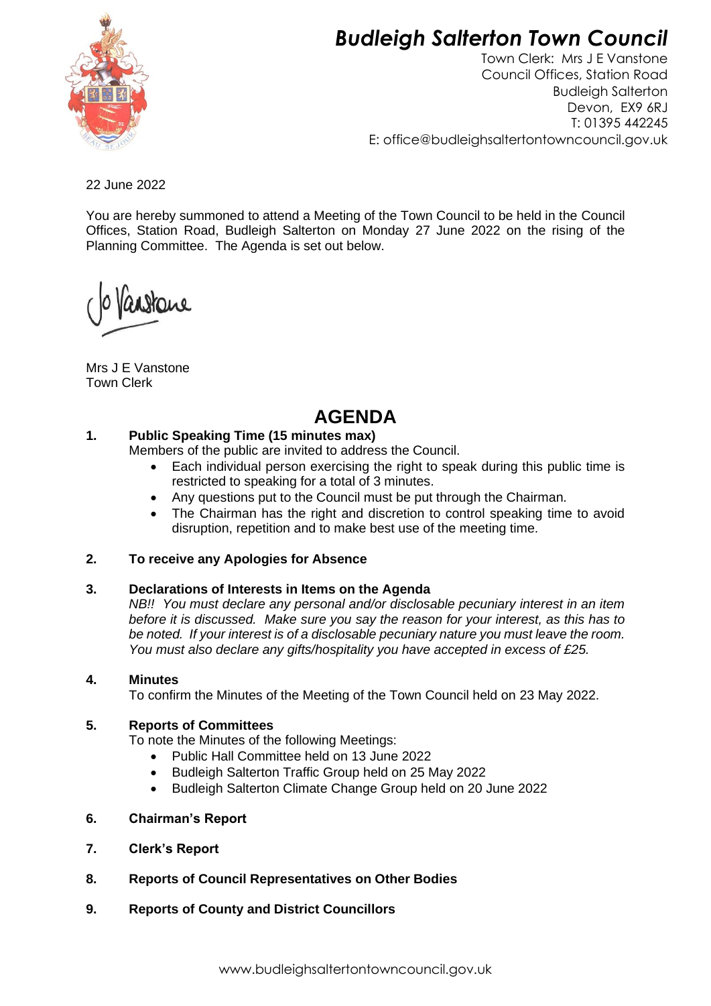# *Budleigh Salterton Town Council*



Town Clerk: Mrs J E Vanstone Council Offices, Station Road Budleigh Salterton Devon, EX9 6RJ T: 01395 442245 E: [office@budleighsaltertontowncouncil.gov.uk](mailto:office@budleighsaltertontowncouncil.gov.uk)

22 June 2022

You are hereby summoned to attend a Meeting of the Town Council to be held in the Council Offices, Station Road, Budleigh Salterton on Monday 27 June 2022 on the rising of the Planning Committee. The Agenda is set out below.

anstane

Mrs J E Vanstone Town Clerk

# **AGENDA**

# **1. Public Speaking Time (15 minutes max)**

Members of the public are invited to address the Council.

- Each individual person exercising the right to speak during this public time is restricted to speaking for a total of 3 minutes.
- Any questions put to the Council must be put through the Chairman.
- The Chairman has the right and discretion to control speaking time to avoid disruption, repetition and to make best use of the meeting time.

# **2. To receive any Apologies for Absence**

# **3. Declarations of Interests in Items on the Agenda**

*NB!! You must declare any personal and/or disclosable pecuniary interest in an item before it is discussed. Make sure you say the reason for your interest, as this has to be noted. If your interest is of a disclosable pecuniary nature you must leave the room. You must also declare any gifts/hospitality you have accepted in excess of £25.*

#### **4. Minutes**

To confirm the Minutes of the Meeting of the Town Council held on 23 May 2022.

# **5. Reports of Committees**

To note the Minutes of the following Meetings:

- Public Hall Committee held on 13 June 2022
- Budleigh Salterton Traffic Group held on 25 May 2022
- Budleigh Salterton Climate Change Group held on 20 June 2022
- **6. Chairman's Report**
- **7. Clerk's Report**
- **8. Reports of Council Representatives on Other Bodies**
- **9. Reports of County and District Councillors**